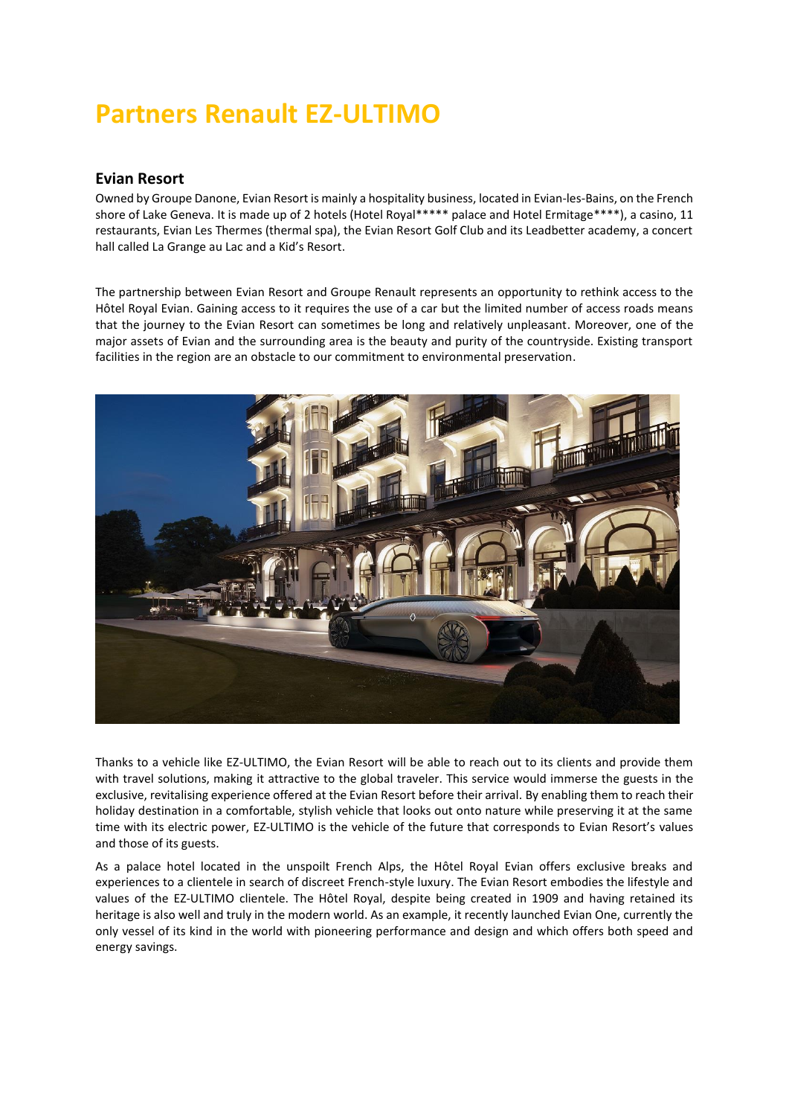## **Partners Renault EZ-ULTIMO**

## **Evian Resort**

Owned by Groupe Danone, Evian Resort is mainly a hospitality business, located in Evian-les-Bains, on the French shore of Lake Geneva. It is made up of 2 hotels (Hotel Royal\*\*\*\*\* palace and Hotel Ermitage\*\*\*\*), a casino, 11 restaurants, Evian Les Thermes (thermal spa), the Evian Resort Golf Club and its Leadbetter academy, a concert hall called La Grange au Lac and a Kid's Resort.

The partnership between Evian Resort and Groupe Renault represents an opportunity to rethink access to the Hôtel Royal Evian. Gaining access to it requires the use of a car but the limited number of access roads means that the journey to the Evian Resort can sometimes be long and relatively unpleasant. Moreover, one of the major assets of Evian and the surrounding area is the beauty and purity of the countryside. Existing transport facilities in the region are an obstacle to our commitment to environmental preservation.



Thanks to a vehicle like EZ-ULTIMO, the Evian Resort will be able to reach out to its clients and provide them with travel solutions, making it attractive to the global traveler. This service would immerse the guests in the exclusive, revitalising experience offered at the Evian Resort before their arrival. By enabling them to reach their holiday destination in a comfortable, stylish vehicle that looks out onto nature while preserving it at the same time with its electric power, EZ-ULTIMO is the vehicle of the future that corresponds to Evian Resort's values and those of its guests.

As a palace hotel located in the unspoilt French Alps, the Hôtel Royal Evian offers exclusive breaks and experiences to a clientele in search of discreet French-style luxury. The Evian Resort embodies the lifestyle and values of the EZ-ULTIMO clientele. The Hôtel Royal, despite being created in 1909 and having retained its heritage is also well and truly in the modern world. As an example, it recently launched Evian One, currently the only vessel of its kind in the world with pioneering performance and design and which offers both speed and energy savings.